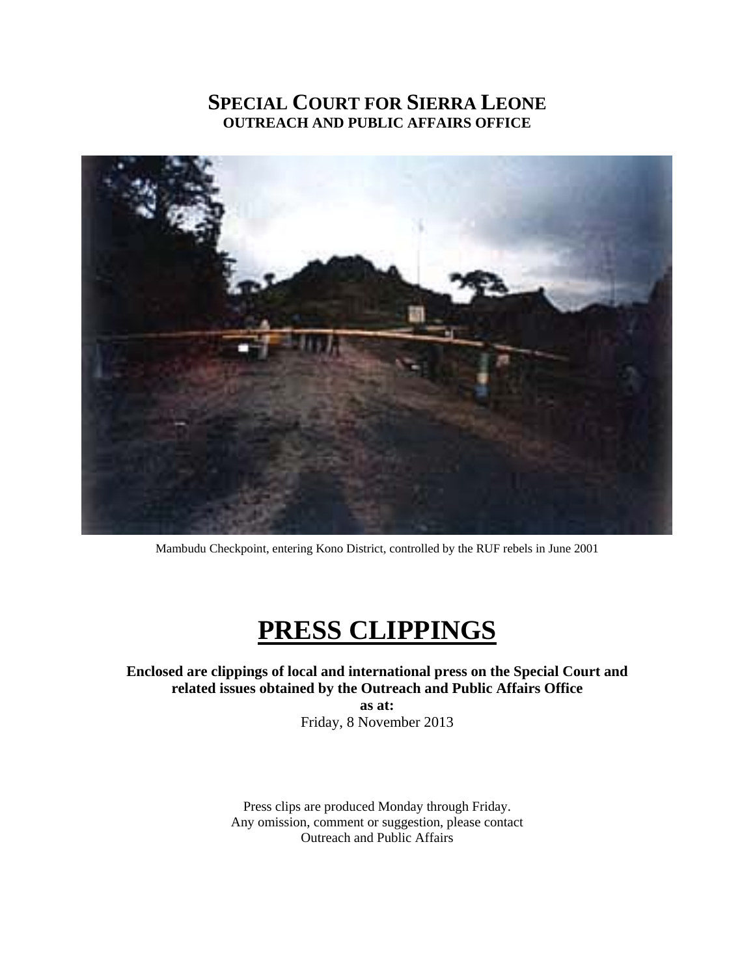### **SPECIAL COURT FOR SIERRA LEONE OUTREACH AND PUBLIC AFFAIRS OFFICE**



Mambudu Checkpoint, entering Kono District, controlled by the RUF rebels in June 2001

## **PRESS CLIPPINGS**

#### **Enclosed are clippings of local and international press on the Special Court and related issues obtained by the Outreach and Public Affairs Office as at:**

Friday, 8 November 2013

Press clips are produced Monday through Friday. Any omission, comment or suggestion, please contact Outreach and Public Affairs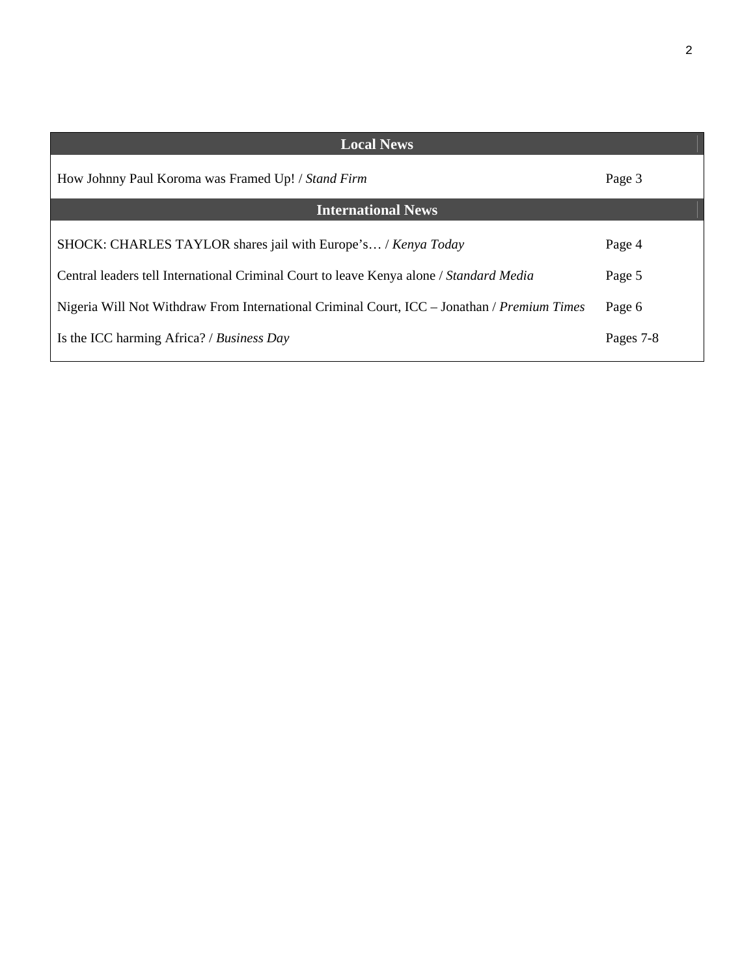| <b>Local News</b>                                                                           |           |  |
|---------------------------------------------------------------------------------------------|-----------|--|
| How Johnny Paul Koroma was Framed Up! / Stand Firm                                          | Page 3    |  |
| <b>International News</b>                                                                   |           |  |
| SHOCK: CHARLES TAYLOR shares jail with Europe's / Kenya Today                               | Page 4    |  |
| Central leaders tell International Criminal Court to leave Kenya alone / Standard Media     | Page 5    |  |
| Nigeria Will Not Withdraw From International Criminal Court, ICC – Jonathan / Premium Times | Page 6    |  |
| Is the ICC harming Africa? / Business Day                                                   | Pages 7-8 |  |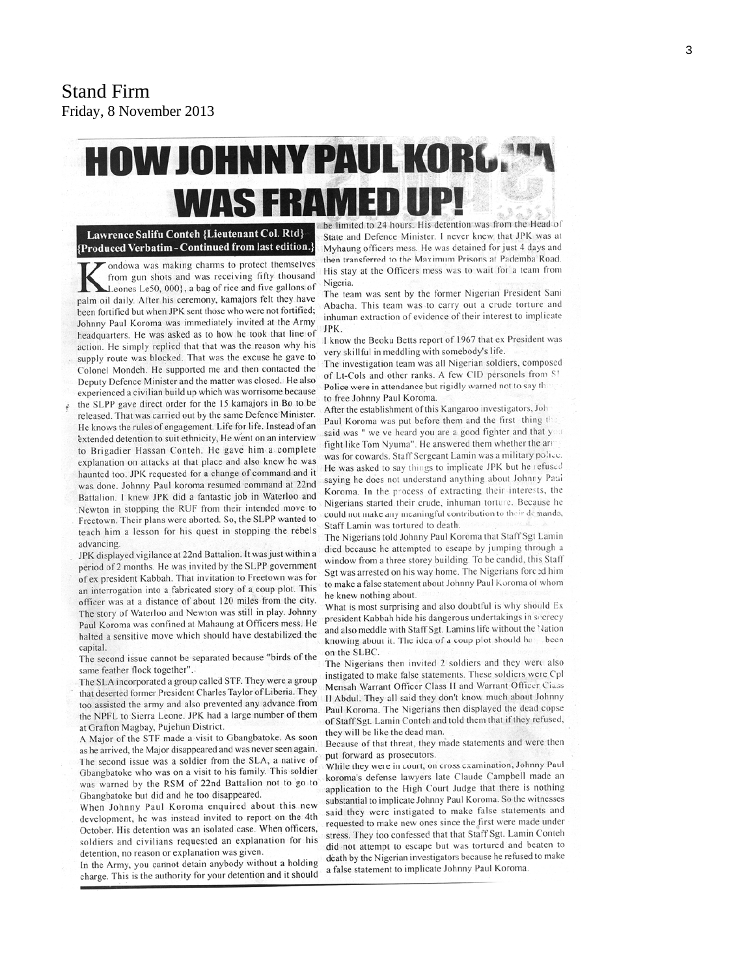# **HOW JOHNNY PAUL KORG® WAS FRAMED UP!**

Lawrence Salifu Conteh {Lieutenant Col. Rtd} {Produced Verbatim - Continued from last edition.

ondowa was making charms to protect themselves from gun shots and was receiving fifty thousand Leones Le50, 000}, a bag of rice and five gallons of palm oil daily. After his ceremony, kamajors felt they have been fortified but when JPK sent those who were not fortified; Johnny Paul Koroma was immediately invited at the Army headquarters. He was asked as to how he took that line of action. He simply replied that that was the reason why his supply route was blocked. That was the excuse he gave to Colonel Mondeh. He supported me and then contacted the Deputy Defence Minister and the matter was closed. He also experienced a civilian build up which was worrisome because

the SLPP gave direct order for the 15 kamajors in Bo to be released. That was carried out by the same Defence Minister. He knows the rules of engagement. Life for life. Instead of an extended detention to suit ethnicity, He went on an interview to Brigadier Hassan Conteh. He gave him a complete explanation on attacks at that place and also knew he was haunted too. JPK requested for a change of command and it was done. Johnny Paul koroma resumed command at 22nd Battalion. I knew JPK did a fantastic job in Waterloo and Newton in stopping the RUF from their intended move to Freetown. Their plans were aborted. So, the SLPP wanted to teach him a lesson for his quest in stopping the rebels advancing.

JPK displayed vigilance at 22nd Battalion. It was just within a period of 2 months. He was invited by the SLPP government of ex president Kabbah. That invitation to Freetown was for an interrogation into a fabricated story of a coup plot. This officer was at a distance of about 120 miles from the city. The story of Waterloo and Newton was still in play. Johnny Paul Koroma was confined at Mahaung at Officers mess. He halted a sensitive move which should have destabilized the capital.

The second issue cannot be separated because "birds of the same feather flock together".

The SLA incorporated a group called STF. They were a group that deserted former President Charles Taylor of Liberia. They too assisted the army and also prevented any advance from the NPFL to Sierra Leone. JPK had a large number of them at Grafton Magbay, Pujehun District.

A Major of the STF made a visit to Gbangbatoke. As soon as he arrived, the Major disappeared and was never seen again. The second issue was a soldier from the SLA, a native of Gbangbatoke who was on a visit to his family. This soldier was warned by the RSM of 22nd Battalion not to go to Gbangbatoke but did and he too disappeared.

When Johnny Paul Koroma enquired about this new development, he was instead invited to report on the 4th October. His detention was an isolated case. When officers, soldiers and civilians requested an explanation for his detention, no reason or explanation was given.

In the Army, you cannot detain anybody without a holding charge. This is the authority for your detention and it should

be limited to 24 hours. His detention was from the Head of State and Defence Minister. I never knew that JPK was at Myhaung officers mess. He was detained for just 4 days and then transferred to the Maximum Prisons at Pademba Road. His stay at the Officers mess was to wait for a team from Nigeria.

The team was sent by the former Nigerian President Sani Abacha. This team was to carry out a crude torture and inhuman extraction of evidence of their interest to implicate JPK.

I know the Beoku Betts report of 1967 that ex President was very skillful in meddling with somebody's life.

The investigation team was all Nigerian soldiers, composed of Lt-Cols and other ranks. A few CID personels from S! Police were in attendance but rigidly warned not to say the to free Johnny Paul Koroma.

After the establishment of this Kangaroo investigators, Joh Paul Koroma was put before them and the first thing the said was " we ve heard you are a good fighter and that you fight like Tom Nyuma". He answered them whether the arr was for cowards. Staff Sergeant Lamin was a military police. He was asked to say things to implicate JPK but he refused saying he does not understand anything about Johnny Paul Koroma. In the process of extracting their interests, the Nigerians started their crude, inhuman torture. Because he could not make any meaningful contribution to their demands, Staff Lamin was tortured to death.

The Nigerians told Johnny Paul Koroma that Staff Sgt Lamin died because he attempted to escape by jumping through a window from a three storey building. To be candid, this Staff Sgt was arrested on his way home. The Nigerians forced him to make a false statement about Johnny Paul Koroma of whom he knew nothing about.

What is most surprising and also doubtful is why should Ex president Kabbah hide his dangerous undertakings in secrecy and also meddle with Staff Sgt. Lamins life without the Nation knowing about it. The idea of a coup plot should has been on the SLBC.

The Nigerians then invited 2 soldiers and they were also instigated to make false statements. These soldiers were Cpl Mensah Warrant Officer Class II and Warrant Officer Ciass II Abdul. They all said they don't know much about Johnny Paul Koroma. The Nigerians then displayed the dead copse of Staff Sgt. Lamin Conteh and told them that if they refused, they will be like the dead man.

Because of that threat, they made statements and were then put forward as prosecutors.

While they were in court, on cross examination, Johnny Paul koroma's defense lawyers late Claude Campbell made an application to the High Court Judge that there is nothing substantial to implicate Johnny Paul Koroma. So the witnesses said they were instigated to make false statements and requested to make new ones since the first were made under stress. They too confessed that that Staff Sgt. Lamin Conteh did not attempt to escape but was tortured and beaten to death by the Nigerian investigators because he refused to make a false statement to implicate Johnny Paul Koroma.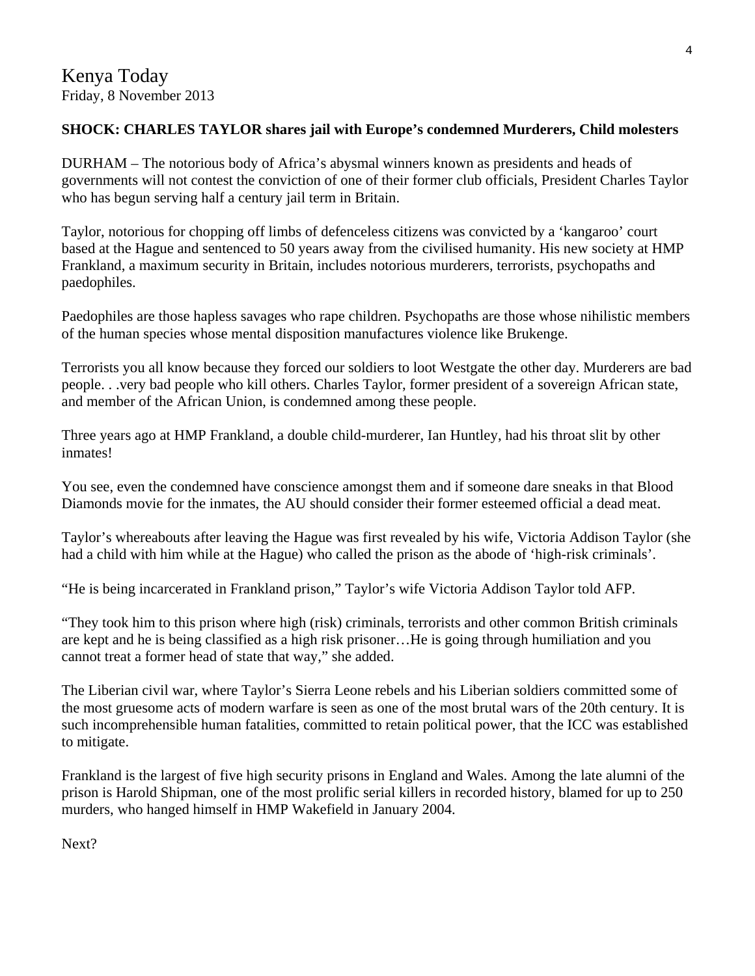#### **SHOCK: CHARLES TAYLOR shares jail with Europe's condemned Murderers, Child molesters**

DURHAM – The notorious body of Africa's abysmal winners known as presidents and heads of governments will not contest the conviction of one of their former club officials, President Charles Taylor who has begun serving half a century jail term in Britain.

Taylor, notorious for chopping off limbs of defenceless citizens was convicted by a 'kangaroo' court based at the Hague and sentenced to 50 years away from the civilised humanity. His new society at HMP Frankland, a maximum security in Britain, includes notorious murderers, terrorists, psychopaths and paedophiles.

Paedophiles are those hapless savages who rape children. Psychopaths are those whose nihilistic members of the human species whose mental disposition manufactures violence like Brukenge.

Terrorists you all know because they forced our soldiers to loot Westgate the other day. Murderers are bad people. . .very bad people who kill others. Charles Taylor, former president of a sovereign African state, and member of the African Union, is condemned among these people.

Three years ago at HMP Frankland, a double child-murderer, Ian Huntley, had his throat slit by other inmates!

You see, even the condemned have conscience amongst them and if someone dare sneaks in that Blood Diamonds movie for the inmates, the AU should consider their former esteemed official a dead meat.

Taylor's whereabouts after leaving the Hague was first revealed by his wife, Victoria Addison Taylor (she had a child with him while at the Hague) who called the prison as the abode of 'high-risk criminals'.

"He is being incarcerated in Frankland prison," Taylor's wife Victoria Addison Taylor told AFP.

"They took him to this prison where high (risk) criminals, terrorists and other common British criminals are kept and he is being classified as a high risk prisoner…He is going through humiliation and you cannot treat a former head of state that way," she added.

The Liberian civil war, where Taylor's Sierra Leone rebels and his Liberian soldiers committed some of the most gruesome acts of modern warfare is seen as one of the most brutal wars of the 20th century. It is such incomprehensible human fatalities, committed to retain political power, that the ICC was established to mitigate.

Frankland is the largest of five high security prisons in England and Wales. Among the late alumni of the prison is Harold Shipman, one of the most prolific serial killers in recorded history, blamed for up to 250 murders, who hanged himself in HMP Wakefield in January 2004.

Next?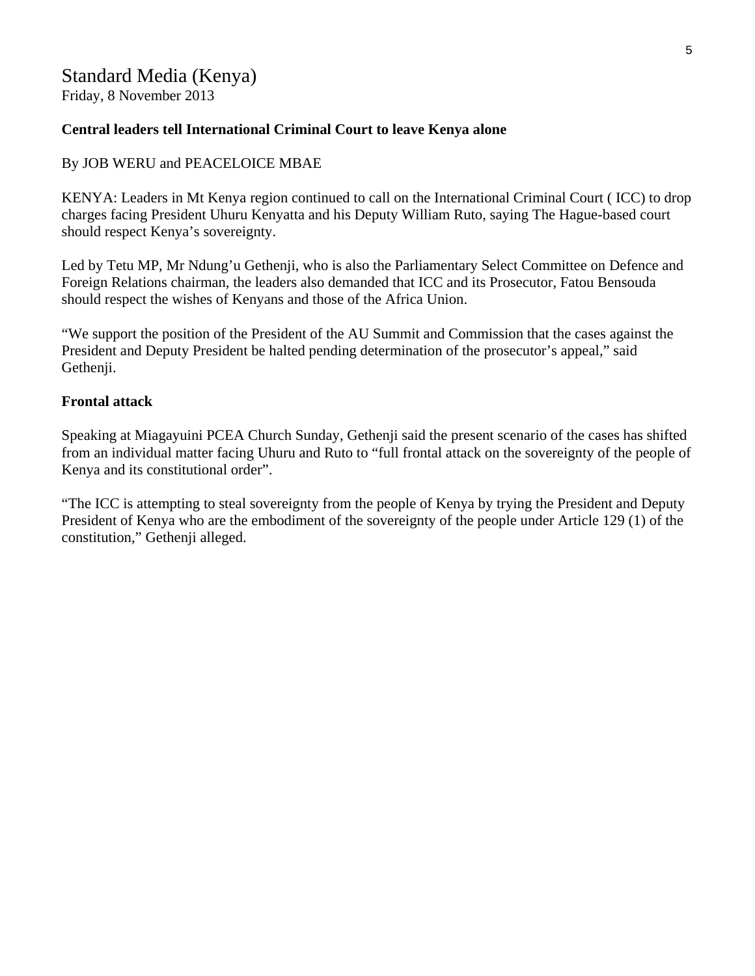## Standard Media (Kenya)

Friday, 8 November 2013

#### **Central leaders tell International Criminal Court to leave Kenya alone**

#### By JOB WERU and PEACELOICE MBAE

KENYA: Leaders in Mt Kenya region continued to call on the International Criminal Court ( ICC) to drop charges facing President Uhuru Kenyatta and his Deputy William Ruto, saying The Hague-based court should respect Kenya's sovereignty.

Led by Tetu MP, Mr Ndung'u Gethenji, who is also the Parliamentary Select Committee on Defence and Foreign Relations chairman, the leaders also demanded that ICC and its Prosecutor, Fatou Bensouda should respect the wishes of Kenyans and those of the Africa Union.

"We support the position of the President of the AU Summit and Commission that the cases against the President and Deputy President be halted pending determination of the prosecutor's appeal," said Gethenji.

#### **Frontal attack**

Speaking at Miagayuini PCEA Church Sunday, Gethenji said the present scenario of the cases has shifted from an individual matter facing Uhuru and Ruto to "full frontal attack on the sovereignty of the people of Kenya and its constitutional order".

"The ICC is attempting to steal sovereignty from the people of Kenya by trying the President and Deputy President of Kenya who are the embodiment of the sovereignty of the people under Article 129 (1) of the constitution," Gethenji alleged.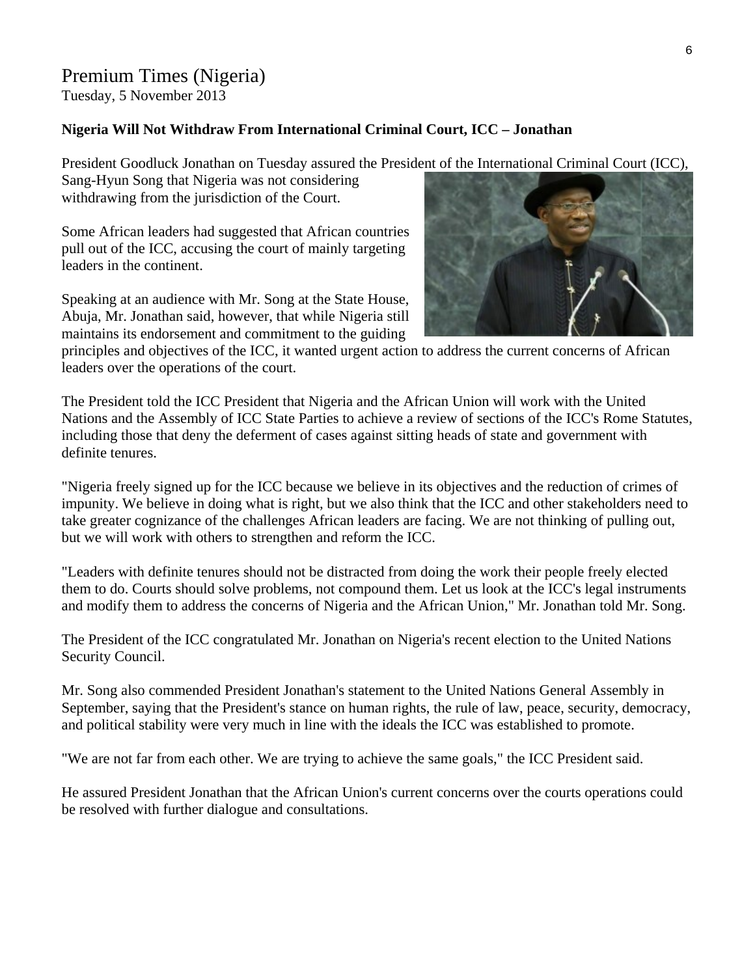#### Premium Times (Nigeria)

Tuesday, 5 November 2013

#### **Nigeria Will Not Withdraw From International Criminal Court, ICC – Jonathan**

President Goodluck Jonathan on Tuesday assured the President of the International Criminal Court (ICC), Sang-Hyun Song that Nigeria was not considering

withdrawing from the jurisdiction of the Court.

Some African leaders had suggested that African countries pull out of the ICC, accusing the court of mainly targeting leaders in the continent.

Speaking at an audience with Mr. Song at the State House, Abuja, Mr. Jonathan said, however, that while Nigeria still maintains its endorsement and commitment to the guiding



principles and objectives of the ICC, it wanted urgent action to address the current concerns of African leaders over the operations of the court.

The President told the ICC President that Nigeria and the African Union will work with the United Nations and the Assembly of ICC State Parties to achieve a review of sections of the ICC's Rome Statutes, including those that deny the deferment of cases against sitting heads of state and government with definite tenures.

"Nigeria freely signed up for the ICC because we believe in its objectives and the reduction of crimes of impunity. We believe in doing what is right, but we also think that the ICC and other stakeholders need to take greater cognizance of the challenges African leaders are facing. We are not thinking of pulling out, but we will work with others to strengthen and reform the ICC.

"Leaders with definite tenures should not be distracted from doing the work their people freely elected them to do. Courts should solve problems, not compound them. Let us look at the ICC's legal instruments and modify them to address the concerns of Nigeria and the African Union," Mr. Jonathan told Mr. Song.

The President of the ICC congratulated Mr. Jonathan on Nigeria's recent election to the United Nations Security Council.

Mr. Song also commended President Jonathan's statement to the United Nations General Assembly in September, saying that the President's stance on human rights, the rule of law, peace, security, democracy, and political stability were very much in line with the ideals the ICC was established to promote.

"We are not far from each other. We are trying to achieve the same goals," the ICC President said.

He assured President Jonathan that the African Union's current concerns over the courts operations could be resolved with further dialogue and consultations.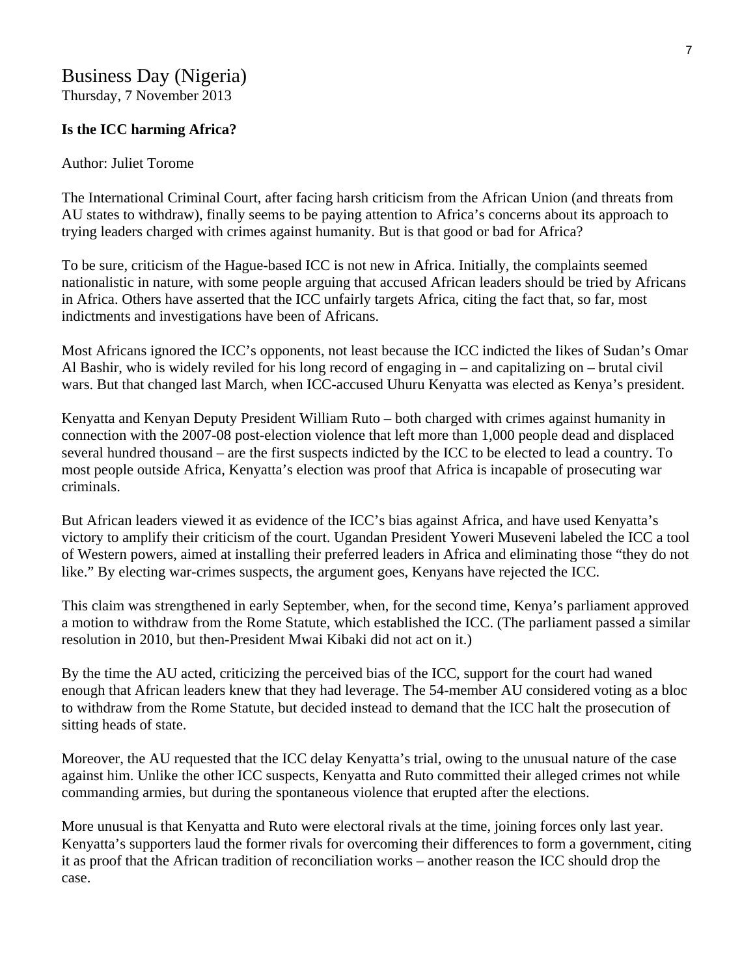## Business Day (Nigeria)

Thursday, 7 November 2013

#### **Is the ICC harming Africa?**

#### Author: Juliet Torome

The International Criminal Court, after facing harsh criticism from the African Union (and threats from AU states to withdraw), finally seems to be paying attention to Africa's concerns about its approach to trying leaders charged with crimes against humanity. But is that good or bad for Africa?

To be sure, criticism of the Hague-based ICC is not new in Africa. Initially, the complaints seemed nationalistic in nature, with some people arguing that accused African leaders should be tried by Africans in Africa. Others have asserted that the ICC unfairly targets Africa, citing the fact that, so far, most indictments and investigations have been of Africans.

Most Africans ignored the ICC's opponents, not least because the ICC indicted the likes of Sudan's Omar Al Bashir, who is widely reviled for his long record of engaging in – and capitalizing on – brutal civil wars. But that changed last March, when ICC-accused Uhuru Kenyatta was elected as Kenya's president.

Kenyatta and Kenyan Deputy President William Ruto – both charged with crimes against humanity in connection with the 2007-08 post-election violence that left more than 1,000 people dead and displaced several hundred thousand – are the first suspects indicted by the ICC to be elected to lead a country. To most people outside Africa, Kenyatta's election was proof that Africa is incapable of prosecuting war criminals.

But African leaders viewed it as evidence of the ICC's bias against Africa, and have used Kenyatta's victory to amplify their criticism of the court. Ugandan President Yoweri Museveni labeled the ICC a tool of Western powers, aimed at installing their preferred leaders in Africa and eliminating those "they do not like." By electing war-crimes suspects, the argument goes, Kenyans have rejected the ICC.

This claim was strengthened in early September, when, for the second time, Kenya's parliament approved a motion to withdraw from the Rome Statute, which established the ICC. (The parliament passed a similar resolution in 2010, but then-President Mwai Kibaki did not act on it.)

By the time the AU acted, criticizing the perceived bias of the ICC, support for the court had waned enough that African leaders knew that they had leverage. The 54-member AU considered voting as a bloc to withdraw from the Rome Statute, but decided instead to demand that the ICC halt the prosecution of sitting heads of state.

Moreover, the AU requested that the ICC delay Kenyatta's trial, owing to the unusual nature of the case against him. Unlike the other ICC suspects, Kenyatta and Ruto committed their alleged crimes not while commanding armies, but during the spontaneous violence that erupted after the elections.

More unusual is that Kenyatta and Ruto were electoral rivals at the time, joining forces only last year. Kenyatta's supporters laud the former rivals for overcoming their differences to form a government, citing it as proof that the African tradition of reconciliation works – another reason the ICC should drop the case.